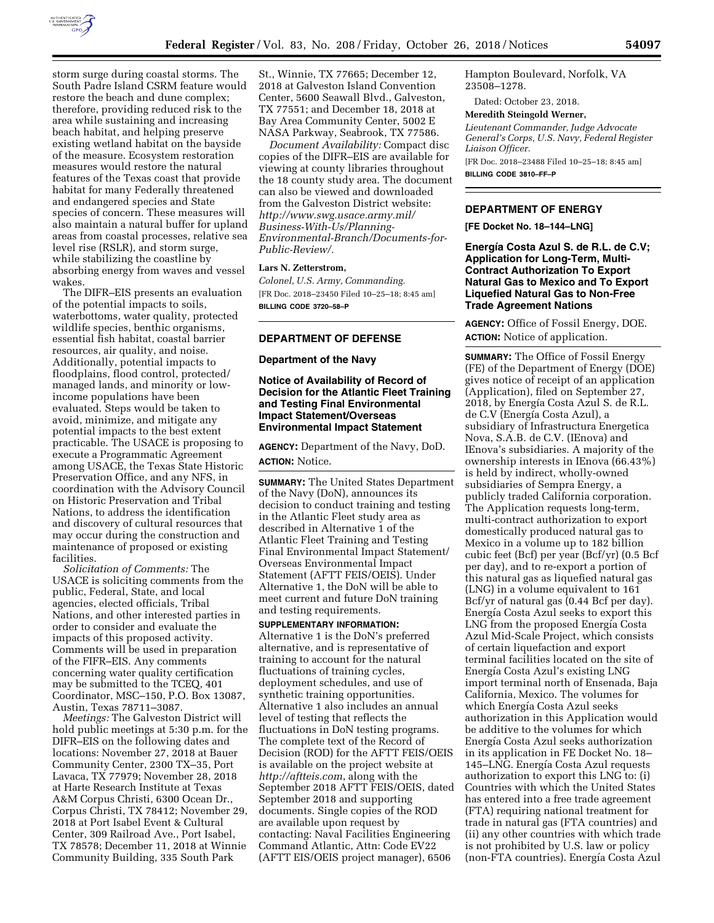

storm surge during coastal storms. The South Padre Island CSRM feature would restore the beach and dune complex; therefore, providing reduced risk to the area while sustaining and increasing beach habitat, and helping preserve existing wetland habitat on the bayside of the measure. Ecosystem restoration measures would restore the natural features of the Texas coast that provide habitat for many Federally threatened and endangered species and State species of concern. These measures will also maintain a natural buffer for upland areas from coastal processes, relative sea level rise (RSLR), and storm surge, while stabilizing the coastline by absorbing energy from waves and vessel wakes.

The DIFR–EIS presents an evaluation of the potential impacts to soils, waterbottoms, water quality, protected wildlife species, benthic organisms, essential fish habitat, coastal barrier resources, air quality, and noise. Additionally, potential impacts to floodplains, flood control, protected/ managed lands, and minority or lowincome populations have been evaluated. Steps would be taken to avoid, minimize, and mitigate any potential impacts to the best extent practicable. The USACE is proposing to execute a Programmatic Agreement among USACE, the Texas State Historic Preservation Office, and any NFS, in coordination with the Advisory Council on Historic Preservation and Tribal Nations, to address the identification and discovery of cultural resources that may occur during the construction and maintenance of proposed or existing facilities.

*Solicitation of Comments:* The USACE is soliciting comments from the public, Federal, State, and local agencies, elected officials, Tribal Nations, and other interested parties in order to consider and evaluate the impacts of this proposed activity. Comments will be used in preparation of the FIFR–EIS. Any comments concerning water quality certification may be submitted to the TCEQ, 401 Coordinator, MSC–150, P.O. Box 13087, Austin, Texas 78711–3087.

*Meetings:* The Galveston District will hold public meetings at 5:30 p.m. for the DIFR–EIS on the following dates and locations: November 27, 2018 at Bauer Community Center, 2300 TX–35, Port Lavaca, TX 77979; November 28, 2018 at Harte Research Institute at Texas A&M Corpus Christi, 6300 Ocean Dr., Corpus Christi, TX 78412; November 29, 2018 at Port Isabel Event & Cultural Center, 309 Railroad Ave., Port Isabel, TX 78578; December 11, 2018 at Winnie Community Building, 335 South Park

St., Winnie, TX 77665; December 12, 2018 at Galveston Island Convention Center, 5600 Seawall Blvd., Galveston, TX 77551; and December 18, 2018 at Bay Area Community Center, 5002 E NASA Parkway, Seabrook, TX 77586.

*Document Availability:* Compact disc copies of the DIFR–EIS are available for viewing at county libraries throughout the 18 county study area. The document can also be viewed and downloaded from the Galveston District website: *[http://www.swg.usace.army.mil/](http://www.swg.usace.army.mil/Business-With-Us/Planning-Environmental-Branch/Documents-for-Public-Review/) [Business-With-Us/Planning-](http://www.swg.usace.army.mil/Business-With-Us/Planning-Environmental-Branch/Documents-for-Public-Review/)[Environmental-Branch/Documents-for-](http://www.swg.usace.army.mil/Business-With-Us/Planning-Environmental-Branch/Documents-for-Public-Review/)[Public-Review/.](http://www.swg.usace.army.mil/Business-With-Us/Planning-Environmental-Branch/Documents-for-Public-Review/)* 

### **Lars N. Zetterstrom,**

*Colonel, U.S. Army, Commanding.*  [FR Doc. 2018–23450 Filed 10–25–18; 8:45 am] **BILLING CODE 3720–58–P** 

#### **DEPARTMENT OF DEFENSE**

#### **Department of the Navy**

### **Notice of Availability of Record of Decision for the Atlantic Fleet Training and Testing Final Environmental Impact Statement/Overseas Environmental Impact Statement**

**AGENCY:** Department of the Navy, DoD. **ACTION:** Notice.

**SUMMARY:** The United States Department of the Navy (DoN), announces its decision to conduct training and testing in the Atlantic Fleet study area as described in Alternative 1 of the Atlantic Fleet Training and Testing Final Environmental Impact Statement/ Overseas Environmental Impact Statement (AFTT FEIS/OEIS). Under Alternative 1, the DoN will be able to meet current and future DoN training and testing requirements.

#### **SUPPLEMENTARY INFORMATION:**

Alternative 1 is the DoN's preferred alternative, and is representative of training to account for the natural fluctuations of training cycles, deployment schedules, and use of synthetic training opportunities. Alternative 1 also includes an annual level of testing that reflects the fluctuations in DoN testing programs. The complete text of the Record of Decision (ROD) for the AFTT FEIS/OEIS is available on the project website at *<http://aftteis.com>*, along with the September 2018 AFTT FEIS/OEIS, dated September 2018 and supporting documents. Single copies of the ROD are available upon request by contacting: Naval Facilities Engineering Command Atlantic, Attn: Code EV22 (AFTT EIS/OEIS project manager), 6506

Hampton Boulevard, Norfolk, VA 23508–1278.

Dated: October 23, 2018.

### **Meredith Steingold Werner,**

*Lieutenant Commander, Judge Advocate General's Corps, U.S. Navy, Federal Register Liaison Officer.* 

[FR Doc. 2018–23488 Filed 10–25–18; 8:45 am] **BILLING CODE 3810–FF–P** 

### **DEPARTMENT OF ENERGY**

**[FE Docket No. 18–144–LNG]** 

Energía Costa Azul S. de R.L. de C.V; **Application for Long-Term, Multi-Contract Authorization To Export Natural Gas to Mexico and To Export Liquefied Natural Gas to Non-Free Trade Agreement Nations** 

**AGENCY:** Office of Fossil Energy, DOE. **ACTION:** Notice of application.

**SUMMARY:** The Office of Fossil Energy (FE) of the Department of Energy (DOE) gives notice of receipt of an application (Application), filed on September 27, 2018, by Energía Costa Azul S. de R.L. de C.V (Energía Costa Azul), a subsidiary of Infrastructura Energetica Nova, S.A.B. de C.V. (IEnova) and IEnova's subsidiaries. A majority of the ownership interests in IEnova (66.43%) is held by indirect, wholly-owned subsidiaries of Sempra Energy, a publicly traded California corporation. The Application requests long-term, multi-contract authorization to export domestically produced natural gas to Mexico in a volume up to 182 billion cubic feet (Bcf) per year (Bcf/yr) (0.5 Bcf per day), and to re-export a portion of this natural gas as liquefied natural gas (LNG) in a volume equivalent to 161 Bcf/yr of natural gas (0.44 Bcf per day). Energía Costa Azul seeks to export this LNG from the proposed Energía Costa Azul Mid-Scale Project, which consists of certain liquefaction and export terminal facilities located on the site of Energía Costa Azul's existing LNG import terminal north of Ensenada, Baja California, Mexico. The volumes for which Energía Costa Azul seeks authorization in this Application would be additive to the volumes for which Energía Costa Azul seeks authorization in its application in FE Docket No. 18– 145–LNG. Energía Costa Azul requests authorization to export this LNG to: (i) Countries with which the United States has entered into a free trade agreement (FTA) requiring national treatment for trade in natural gas (FTA countries) and (ii) any other countries with which trade is not prohibited by U.S. law or policy (non-FTA countries). Energía Costa Azul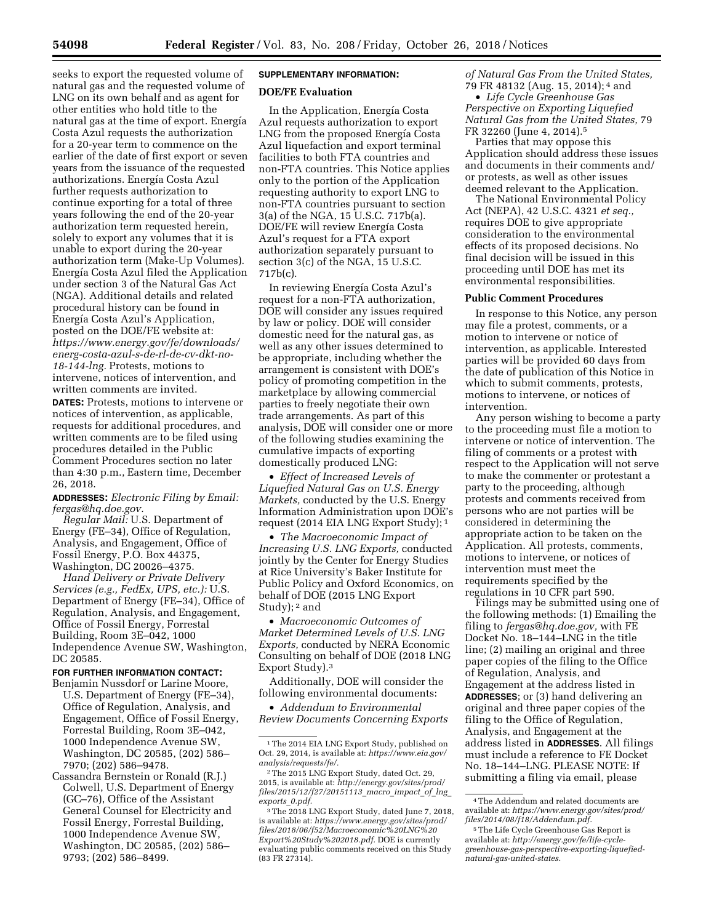seeks to export the requested volume of natural gas and the requested volume of LNG on its own behalf and as agent for other entities who hold title to the natural gas at the time of export. Energía Costa Azul requests the authorization for a 20-year term to commence on the earlier of the date of first export or seven years from the issuance of the requested authorizations. Energía Costa Azul further requests authorization to continue exporting for a total of three years following the end of the 20-year authorization term requested herein, solely to export any volumes that it is unable to export during the 20-year authorization term (Make-Up Volumes). Energía Costa Azul filed the Application under section 3 of the Natural Gas Act (NGA). Additional details and related procedural history can be found in Energía Costa Azul's Application, posted on the DOE/FE website at: *[https://www.energy.gov/fe/downloads/](https://www.energy.gov/fe/downloads/energ-costa-azul-s-de-rl-de-cv-dkt-no-18-144-lng)  [energ-costa-azul-s-de-rl-de-cv-dkt-no-](https://www.energy.gov/fe/downloads/energ-costa-azul-s-de-rl-de-cv-dkt-no-18-144-lng)[18-144-lng.](https://www.energy.gov/fe/downloads/energ-costa-azul-s-de-rl-de-cv-dkt-no-18-144-lng)* Protests, motions to intervene, notices of intervention, and written comments are invited.

**DATES:** Protests, motions to intervene or notices of intervention, as applicable, requests for additional procedures, and written comments are to be filed using procedures detailed in the Public Comment Procedures section no later than 4:30 p.m., Eastern time, December 26, 2018.

**ADDRESSES:** *Electronic Filing by Email: [fergas@hq.doe.gov.](mailto:fergas@hq.doe.gov)* 

*Regular Mail:* U.S. Department of Energy (FE–34), Office of Regulation, Analysis, and Engagement, Office of Fossil Energy, P.O. Box 44375, Washington, DC 20026–4375.

*Hand Delivery or Private Delivery Services (e.g., FedEx, UPS, etc.):* U.S. Department of Energy (FE–34), Office of Regulation, Analysis, and Engagement, Office of Fossil Energy, Forrestal Building, Room 3E–042, 1000 Independence Avenue SW, Washington, DC 20585.

### **FOR FURTHER INFORMATION CONTACT:**

Benjamin Nussdorf or Larine Moore, U.S. Department of Energy (FE–34), Office of Regulation, Analysis, and Engagement, Office of Fossil Energy, Forrestal Building, Room 3E–042, 1000 Independence Avenue SW, Washington, DC 20585, (202) 586– 7970; (202) 586–9478.

Cassandra Bernstein or Ronald (R.J.) Colwell, U.S. Department of Energy (GC–76), Office of the Assistant General Counsel for Electricity and Fossil Energy, Forrestal Building, 1000 Independence Avenue SW, Washington, DC 20585, (202) 586– 9793; (202) 586–8499.

# **SUPPLEMENTARY INFORMATION:**

### **DOE/FE Evaluation**

In the Application, Energía Costa Azul requests authorization to export LNG from the proposed Energía Costa Azul liquefaction and export terminal facilities to both FTA countries and non-FTA countries. This Notice applies only to the portion of the Application requesting authority to export LNG to non-FTA countries pursuant to section 3(a) of the NGA, 15 U.S.C. 717b(a). DOE/FE will review Energía Costa Azul's request for a FTA export authorization separately pursuant to section 3(c) of the NGA, 15 U.S.C. 717b(c).

In reviewing Energía Costa Azul's request for a non-FTA authorization, DOE will consider any issues required by law or policy. DOE will consider domestic need for the natural gas, as well as any other issues determined to be appropriate, including whether the arrangement is consistent with DOE's policy of promoting competition in the marketplace by allowing commercial parties to freely negotiate their own trade arrangements. As part of this analysis, DOE will consider one or more of the following studies examining the cumulative impacts of exporting domestically produced LNG:

• *Effect of Increased Levels of Liquefied Natural Gas on U.S. Energy Markets,* conducted by the U.S. Energy Information Administration upon DOE's request (2014 EIA LNG Export Study); 1

• *The Macroeconomic Impact of Increasing U.S. LNG Exports,* conducted jointly by the Center for Energy Studies at Rice University's Baker Institute for Public Policy and Oxford Economics, on behalf of DOE (2015 LNG Export Study); 2 and

• *Macroeconomic Outcomes of Market Determined Levels of U.S. LNG Exports,* conducted by NERA Economic Consulting on behalf of DOE (2018 LNG Export Study).3

Additionally, DOE will consider the following environmental documents:

• *Addendum to Environmental Review Documents Concerning Exports*  *of Natural Gas From the United States,*  79 FR 48132 (Aug. 15, 2014); 4 and

• *Life Cycle Greenhouse Gas Perspective on Exporting Liquefied Natural Gas from the United States,* 79 FR 32260 (June 4, 2014).5

Parties that may oppose this Application should address these issues and documents in their comments and/ or protests, as well as other issues deemed relevant to the Application.

The National Environmental Policy Act (NEPA), 42 U.S.C. 4321 *et seq.,*  requires DOE to give appropriate consideration to the environmental effects of its proposed decisions. No final decision will be issued in this proceeding until DOE has met its environmental responsibilities.

#### **Public Comment Procedures**

In response to this Notice, any person may file a protest, comments, or a motion to intervene or notice of intervention, as applicable. Interested parties will be provided 60 days from the date of publication of this Notice in which to submit comments, protests, motions to intervene, or notices of intervention.

Any person wishing to become a party to the proceeding must file a motion to intervene or notice of intervention. The filing of comments or a protest with respect to the Application will not serve to make the commenter or protestant a party to the proceeding, although protests and comments received from persons who are not parties will be considered in determining the appropriate action to be taken on the Application. All protests, comments, motions to intervene, or notices of intervention must meet the requirements specified by the regulations in 10 CFR part 590.

Filings may be submitted using one of the following methods: (1) Emailing the filing to *[fergas@hq.doe.gov,](mailto:fergas@hq.doe.gov)* with FE Docket No. 18–144–LNG in the title line; (2) mailing an original and three paper copies of the filing to the Office of Regulation, Analysis, and Engagement at the address listed in **ADDRESSES**; or (3) hand delivering an original and three paper copies of the filing to the Office of Regulation, Analysis, and Engagement at the address listed in **ADDRESSES**. All filings must include a reference to FE Docket No. 18–144–LNG. PLEASE NOTE: If submitting a filing via email, please

<sup>&</sup>lt;sup>1</sup>The 2014 EIA LNG Export Study, published on Oct. 29, 2014, is available at: *[https://www.eia.gov/](https://www.eia.gov/analysis/requests/fe/)  [analysis/requests/fe/.](https://www.eia.gov/analysis/requests/fe/)* 

<sup>2</sup>The 2015 LNG Export Study, dated Oct. 29, 2015, is available at: *[http://energy.gov/sites/prod/](http://energy.gov/sites/prod/files/2015/12/f27/20151113_macro_impact_of_lng_exports_0.pdf)  [files/2015/12/f27/20151113](http://energy.gov/sites/prod/files/2015/12/f27/20151113_macro_impact_of_lng_exports_0.pdf)*\_*macro*\_*impact*\_*of*\_*lng*\_ *[exports](http://energy.gov/sites/prod/files/2015/12/f27/20151113_macro_impact_of_lng_exports_0.pdf)*\_*0.pdf.* 

<sup>3</sup>The 2018 LNG Export Study, dated June 7, 2018, is available at: *[https://www.energy.gov/sites/prod/](https://www.energy.gov/sites/prod/files/2018/06/f52/Macroeconomic%20LNG%20Export%20Study%202018.pdf) [files/2018/06/f52/Macroeconomic%20LNG%20](https://www.energy.gov/sites/prod/files/2018/06/f52/Macroeconomic%20LNG%20Export%20Study%202018.pdf) [Export%20Study%202018.pdf.](https://www.energy.gov/sites/prod/files/2018/06/f52/Macroeconomic%20LNG%20Export%20Study%202018.pdf)* DOE is currently evaluating public comments received on this Study (83 FR 27314).

<sup>4</sup>The Addendum and related documents are available at: *[https://www.energy.gov/sites/prod/](https://www.energy.gov/sites/prod/files/2014/08/f18/Addendum.pdf)  [files/2014/08/f18/Addendum.pdf.](https://www.energy.gov/sites/prod/files/2014/08/f18/Addendum.pdf)* 

<sup>5</sup>The Life Cycle Greenhouse Gas Report is available at: *[http://energy.gov/fe/life-cycle](http://energy.gov/fe/life-cycle-greenhouse-gas-perspective-exporting-liquefied-natural-gas-united-states)[greenhouse-gas-perspective-exporting-liquefied](http://energy.gov/fe/life-cycle-greenhouse-gas-perspective-exporting-liquefied-natural-gas-united-states)[natural-gas-united-states.](http://energy.gov/fe/life-cycle-greenhouse-gas-perspective-exporting-liquefied-natural-gas-united-states)*